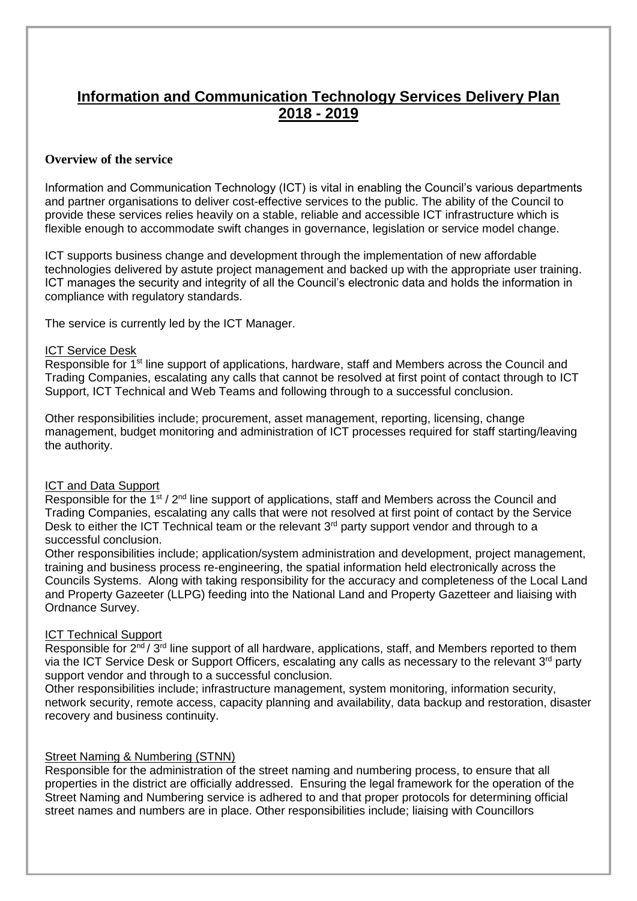### **Information and Communication Technology Services Delivery Plan 2018 - 2019**

#### **Overview of the service**

Information and Communication Technology (ICT) is vital in enabling the Council's various departments and partner organisations to deliver cost-effective services to the public. The ability of the Council to provide these services relies heavily on a stable, reliable and accessible ICT infrastructure which is flexible enough to accommodate swift changes in governance, legislation or service model change.

ICT supports business change and development through the implementation of new affordable technologies delivered by astute project management and backed up with the appropriate user training. ICT manages the security and integrity of all the Council's electronic data and holds the information in compliance with regulatory standards.

The service is currently led by the ICT Manager.

#### ICT Service Desk

Responsible for 1<sup>st</sup> line support of applications, hardware, staff and Members across the Council and Trading Companies, escalating any calls that cannot be resolved at first point of contact through to ICT Support, ICT Technical and Web Teams and following through to a successful conclusion.

Other responsibilities include; procurement, asset management, reporting, licensing, change management, budget monitoring and administration of ICT processes required for staff starting/leaving the authority.

#### ICT and Data Support

Responsible for the  $1^{st}$  /  $2^{nd}$  line support of applications, staff and Members across the Council and Trading Companies, escalating any calls that were not resolved at first point of contact by the Service Desk to either the ICT Technical team or the relevant 3<sup>rd</sup> party support vendor and through to a successful conclusion.

Other responsibilities include; application/system administration and development, project management, training and business process re-engineering, the spatial information held electronically across the Councils Systems. Along with taking responsibility for the accuracy and completeness of the Local Land and Property Gazeeter (LLPG) feeding into the National Land and Property Gazetteer and liaising with Ordnance Survey.

#### ICT Technical Support

Responsible for  $2^{nd}/3^{rd}$  line support of all hardware, applications, staff, and Members reported to them via the ICT Service Desk or Support Officers, escalating any calls as necessary to the relevant 3<sup>rd</sup> party support vendor and through to a successful conclusion.

Other responsibilities include; infrastructure management, system monitoring, information security, network security, remote access, capacity planning and availability, data backup and restoration, disaster recovery and business continuity.

#### Street Naming & Numbering (STNN)

Responsible for the administration of the street naming and numbering process, to ensure that all properties in the district are officially addressed. Ensuring the legal framework for the operation of the Street Naming and Numbering service is adhered to and that proper protocols for determining official street names and numbers are in place. Other responsibilities include; liaising with Councillors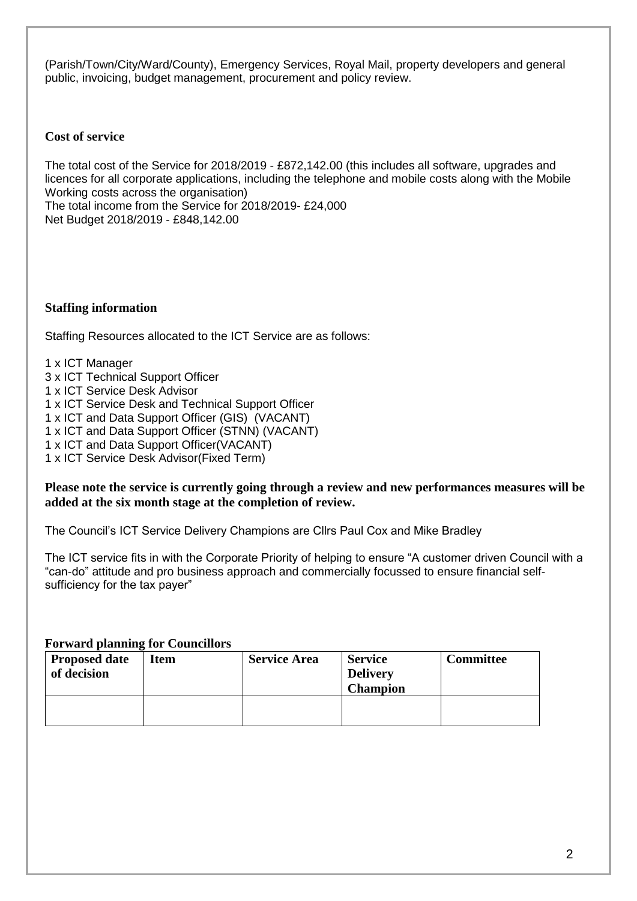(Parish/Town/City/Ward/County), Emergency Services, Royal Mail, property developers and general public, invoicing, budget management, procurement and policy review.

#### **Cost of service**

The total cost of the Service for 2018/2019 - £872,142.00 (this includes all software, upgrades and licences for all corporate applications, including the telephone and mobile costs along with the Mobile Working costs across the organisation) The total income from the Service for 2018/2019- £24,000 Net Budget 2018/2019 - £848,142.00

#### **Staffing information**

Staffing Resources allocated to the ICT Service are as follows:

1 x ICT Manager

- 3 x ICT Technical Support Officer
- 1 x ICT Service Desk Advisor
- 1 x ICT Service Desk and Technical Support Officer
- 1 x ICT and Data Support Officer (GIS) (VACANT)
- 1 x ICT and Data Support Officer (STNN) (VACANT)
- 1 x ICT and Data Support Officer(VACANT)
- 1 x ICT Service Desk Advisor(Fixed Term)

#### **Please note the service is currently going through a review and new performances measures will be added at the six month stage at the completion of review.**

The Council's ICT Service Delivery Champions are Cllrs Paul Cox and Mike Bradley

The ICT service fits in with the Corporate Priority of helping to ensure "A customer driven Council with a "can-do" attitude and pro business approach and commercially focussed to ensure financial selfsufficiency for the tax payer"

**Forward planning for Councillors**

| Proposed date<br>of decision | Item | <b>Service Area</b> | <b>Service</b><br><b>Delivery</b><br><b>Champion</b> | <b>Committee</b> |
|------------------------------|------|---------------------|------------------------------------------------------|------------------|
|                              |      |                     |                                                      |                  |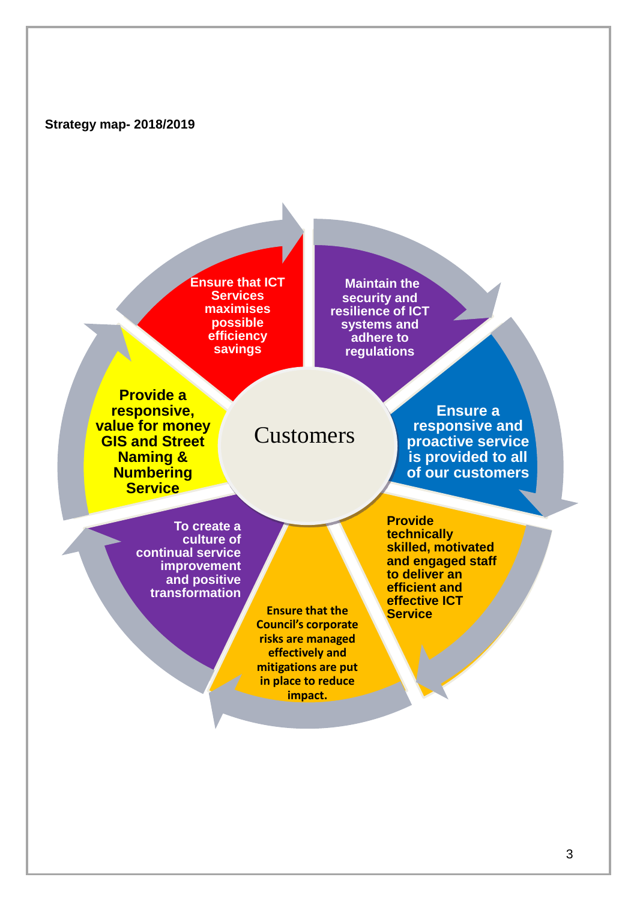**Ensure that ICT Services maximises possible efficiency savings** 

**Maintain the security and resilience of ICT systems and adhere to regulations** 

**Provide a responsive, value for money GIS and Street Naming & Numbering Service**

# Customers

**Ensure a responsive and proactive service is provided to all of our customers**

**To create a culture of continual service improvement and positive transformation** 

> **Ensure that the Council's corporate risks are managed effectively and mitigations are put in place to reduce impact.**

**Provide technically skilled, motivated and engaged staff to deliver an efficient and effective ICT**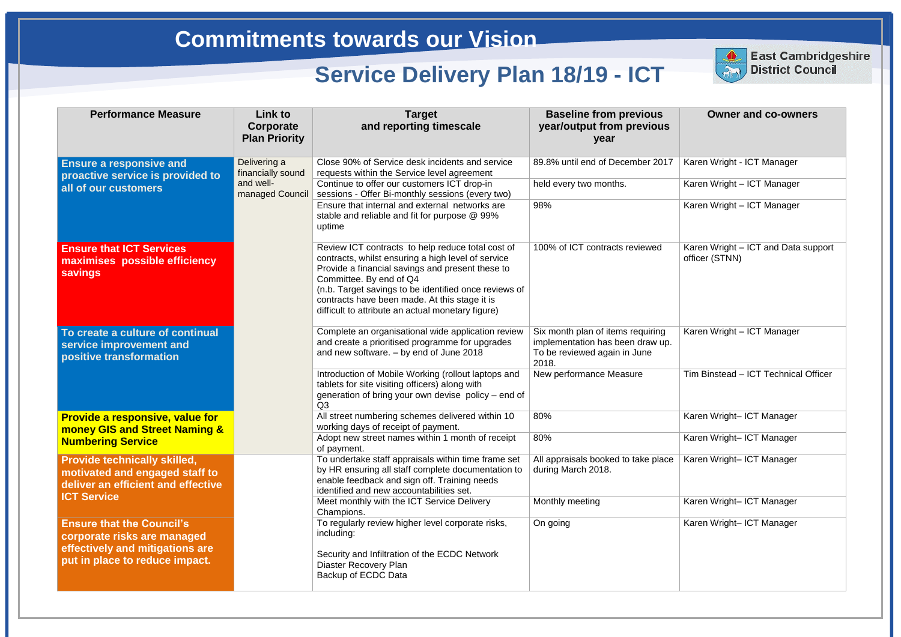### **Owner and co-owners**

Karen Wright - ICT Manager

Karen Wright – ICT Manager

Karen Wright – ICT Manager

Karen Wright – ICT and Data support officer (STNN)

| <b>Performance Measure</b>                                                                                                        | Link to<br>Corporate<br><b>Plan Priority</b>                      | <b>Target</b><br>and reporting timescale                                                                                                                                                                                                                                                                                                              | <b>Baseline from previous</b><br>year/output from previous<br>year                                             |
|-----------------------------------------------------------------------------------------------------------------------------------|-------------------------------------------------------------------|-------------------------------------------------------------------------------------------------------------------------------------------------------------------------------------------------------------------------------------------------------------------------------------------------------------------------------------------------------|----------------------------------------------------------------------------------------------------------------|
| <b>Ensure a responsive and</b><br>proactive service is provided to                                                                | Delivering a<br>financially sound<br>and well-<br>managed Council | Close 90% of Service desk incidents and service<br>requests within the Service level agreement                                                                                                                                                                                                                                                        | 89.8% until end of December 2017                                                                               |
| all of our customers                                                                                                              |                                                                   | Continue to offer our customers ICT drop-in<br>sessions - Offer Bi-monthly sessions (every two)                                                                                                                                                                                                                                                       | held every two months.                                                                                         |
|                                                                                                                                   |                                                                   | Ensure that internal and external networks are<br>stable and reliable and fit for purpose @ 99%<br>uptime                                                                                                                                                                                                                                             | 98%                                                                                                            |
| <b>Ensure that ICT Services</b><br>maximises possible efficiency<br><b>savings</b>                                                |                                                                   | Review ICT contracts to help reduce total cost of<br>contracts, whilst ensuring a high level of service<br>Provide a financial savings and present these to<br>Committee. By end of Q4<br>(n.b. Target savings to be identified once reviews of<br>contracts have been made. At this stage it is<br>difficult to attribute an actual monetary figure) | 100% of ICT contracts reviewed                                                                                 |
| To create a culture of continual<br>service improvement and<br>positive transformation                                            |                                                                   | Complete an organisational wide application review<br>and create a prioritised programme for upgrades<br>and new software. - by end of June 2018                                                                                                                                                                                                      | Six month plan of items requiring<br>implementation has been draw up.<br>To be reviewed again in June<br>2018. |
|                                                                                                                                   |                                                                   | Introduction of Mobile Working (rollout laptops and<br>tablets for site visiting officers) along with<br>generation of bring your own devise policy - end of<br>Q <sub>3</sub>                                                                                                                                                                        | New performance Measure                                                                                        |
| <b>Provide a responsive, value for</b><br><b>money GIS and Street Naming &amp;</b>                                                |                                                                   | All street numbering schemes delivered within 10<br>working days of receipt of payment.                                                                                                                                                                                                                                                               | 80%                                                                                                            |
| <b>Numbering Service</b>                                                                                                          |                                                                   | Adopt new street names within 1 month of receipt<br>of payment.                                                                                                                                                                                                                                                                                       | 80%                                                                                                            |
| <b>Provide technically skilled,</b><br>motivated and engaged staff to<br>deliver an efficient and effective<br><b>ICT Service</b> |                                                                   | To undertake staff appraisals within time frame set<br>by HR ensuring all staff complete documentation to<br>enable feedback and sign off. Training needs<br>identified and new accountabilities set.                                                                                                                                                 | All appraisals booked to take place<br>during March 2018.                                                      |
|                                                                                                                                   |                                                                   | Meet monthly with the ICT Service Delivery<br>Champions.                                                                                                                                                                                                                                                                                              | Monthly meeting                                                                                                |
| <b>Ensure that the Council's</b><br>corporate risks are managed                                                                   |                                                                   | To regularly review higher level corporate risks,<br>including:                                                                                                                                                                                                                                                                                       | On going                                                                                                       |
| effectively and mitigations are<br>put in place to reduce impact.                                                                 |                                                                   | Security and Infiltration of the ECDC Network<br><b>Diaster Recovery Plan</b><br>Backup of ECDC Data                                                                                                                                                                                                                                                  |                                                                                                                |



**East Cambridgeshire** District Council

Karen Wright – ICT Manager

Tim Binstead – ICT Technical Officer

Karen Wright– ICT Manager

Karen Wright– ICT Manager

Karen Wright– ICT Manager

Karen Wright– ICT Manager

Karen Wright– ICT Manager

**East Cambridgeshire District Council**

# **Commitments towards our Vision**

# **Service Delivery Plan 18/19 - ICT**